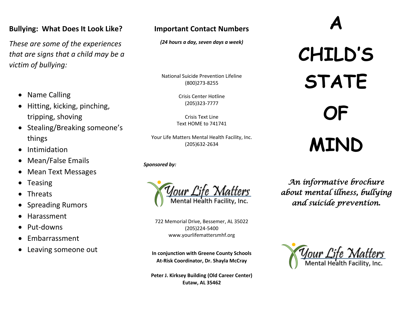## **Bullying: What Does It Look Like?**

*These are some of the experiences that are signs that a child may be a victim of bullying:*

- Name Calling
- Hitting, kicking, pinching, tripping, shoving
- Stealing/Breaking someone's things
- Intimidation
- Mean/False Emails
- Mean Text Messages
- Teasing
- Threats
- Spreading Rumors
- Harassment
- Put-downs
- Embarrassment
- Leaving someone out

# **Important Contact Numbers**

*(24 hours a day, seven days a week)*

National Suicide Prevention Lifeline (800)273-8255

> Crisis Center Hotline (205)323-7777

Crisis Text Line Text HOME to 741741

Your Life Matters Mental Health Facility, Inc. (205)632-2634

*Sponsored by:*



722 Memorial Drive, Bessemer, AL 35022 (205)224-5400 www.yourlifemattersmhf.org

**In conjunction with Greene County Schools At-Risk Coordinator, Dr. Shayla McCray**

**Peter J. Kirksey Building (Old Career Center) Eutaw, AL 35462**

# **CHILD'S STATE OF MIND**

**A** 

*An informative brochure about mental illness, bullying and suicide prevention.*